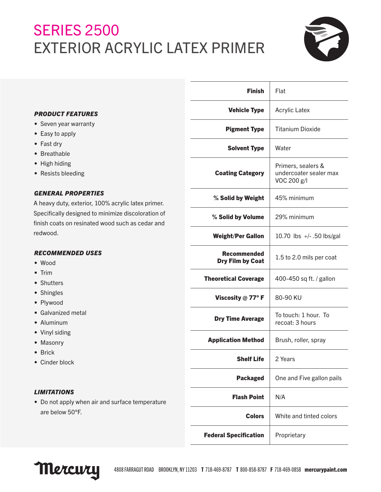## **SERIES 2500** EXTERIOR ACRYLIC LATEX PRIMER



|                                                                                                                                                                                           | <b>Finish</b>                                 | Flat                                                        |
|-------------------------------------------------------------------------------------------------------------------------------------------------------------------------------------------|-----------------------------------------------|-------------------------------------------------------------|
| <b>PRODUCT FEATURES</b><br>• Seven year warranty<br>• Easy to apply<br>• Fast dry<br>• Breathable<br>• High hiding<br>• Resists bleeding                                                  | <b>Vehicle Type</b>                           | <b>Acrylic Latex</b>                                        |
|                                                                                                                                                                                           | <b>Pigment Type</b>                           | <b>Titanium Dioxide</b>                                     |
|                                                                                                                                                                                           | <b>Solvent Type</b>                           | Water                                                       |
|                                                                                                                                                                                           | <b>Coating Category</b>                       | Primers, sealers &<br>undercoater sealer max<br>VOC 200 g/l |
| <b>GENERAL PROPERTIES</b><br>A heavy duty, exterior, 100% acrylic latex primer.<br>Specifically designed to minimize discoloration of<br>finish coats on resinated wood such as cedar and | % Solid by Weight                             | 45% minimum                                                 |
|                                                                                                                                                                                           | % Solid by Volume                             | 29% minimum                                                 |
| redwood.                                                                                                                                                                                  | <b>Weight/Per Gallon</b>                      | 10.70 lbs $+/-$ .50 lbs/gal                                 |
| <b>RECOMMENDED USES</b><br>$\bullet$ Wood<br>$\bullet$ Trim<br>• Shutters<br>• Shingles<br>• Plywood<br>• Galvanized metal<br>• Aluminum<br>• Vinyl siding<br>• Masonry                   | <b>Recommended</b><br><b>Dry Film by Coat</b> | 1.5 to 2.0 mils per coat                                    |
|                                                                                                                                                                                           | <b>Theoretical Coverage</b>                   | 400-450 sq ft. / gallon                                     |
|                                                                                                                                                                                           | Viscosity @ 77°F                              | 80-90 KU                                                    |
|                                                                                                                                                                                           | <b>Dry Time Average</b>                       | To touch: 1 hour. To<br>recoat: 3 hours                     |
|                                                                                                                                                                                           | <b>Application Method</b>                     | Brush, roller, spray                                        |
| $\bullet$ Brick<br>• Cinder block                                                                                                                                                         | <b>Shelf Life</b>                             | 2 Years                                                     |
|                                                                                                                                                                                           | <b>Packaged</b>                               | One and Five gallon pails                                   |
| <b>LIMITATIONS</b><br>• Do not apply when air and surface temperature<br>are below 50°F.                                                                                                  | <b>Flash Point</b>                            | N/A                                                         |
|                                                                                                                                                                                           | <b>Colors</b>                                 | White and tinted colors                                     |
|                                                                                                                                                                                           | <b>Federal Specification</b>                  | Proprietary                                                 |